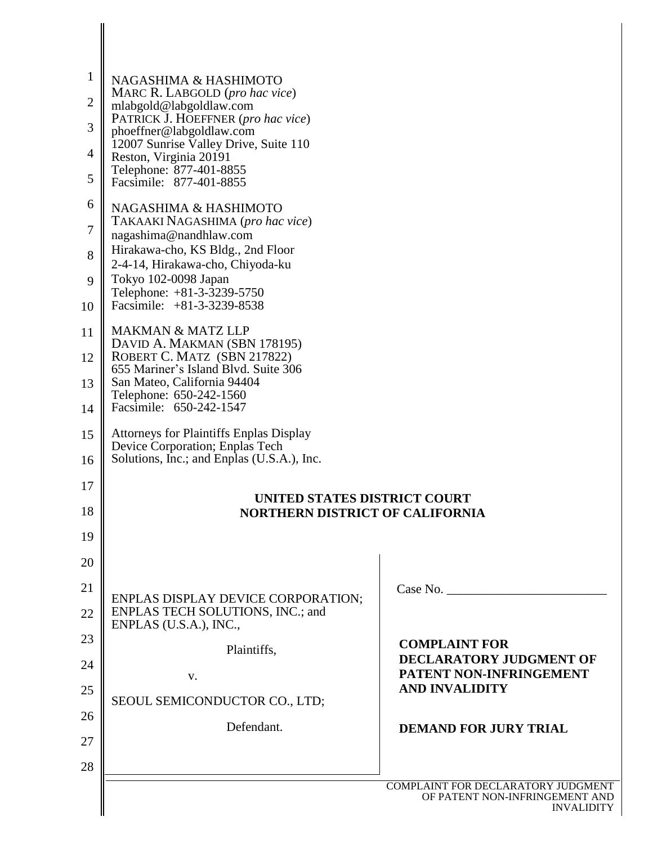| $\mathbf{1}$   | NAGASHIMA & HASHIMOTO                                                             |                                                     |
|----------------|-----------------------------------------------------------------------------------|-----------------------------------------------------|
| $\overline{2}$ | MARC R. LABGOLD (pro hac vice)<br>mlabgold@labgoldlaw.com                         |                                                     |
| 3              | PATRICK J. HOEFFNER (pro hac vice)<br>phoeffner@labgoldlaw.com                    |                                                     |
| 4              | 12007 Sunrise Valley Drive, Suite 110<br>Reston, Virginia 20191                   |                                                     |
| 5              | Telephone: 877-401-8855<br>Facsimile: 877-401-8855                                |                                                     |
| 6              | NAGASHIMA & HASHIMOTO                                                             |                                                     |
| 7              | TAKAAKI NAGASHIMA (pro hac vice)<br>nagashima@nandhlaw.com                        |                                                     |
| 8              | Hirakawa-cho, KS Bldg., 2nd Floor<br>2-4-14, Hirakawa-cho, Chiyoda-ku             |                                                     |
| 9              | Tokyo 102-0098 Japan<br>Telephone: +81-3-3239-5750                                |                                                     |
| 10             | Facsimile: +81-3-3239-8538                                                        |                                                     |
| 11             | <b>MAKMAN &amp; MATZ LLP</b><br>DAVID A. MAKMAN (SBN 178195)                      |                                                     |
| 12             | ROBERT C. MATZ (SBN 217822)<br>655 Mariner's Island Blvd. Suite 306               |                                                     |
| 13             | San Mateo, California 94404<br>Telephone: 650-242-1560                            |                                                     |
| 14             | Facsimile: 650-242-1547                                                           |                                                     |
| 15             | <b>Attorneys for Plaintiffs Enplas Display</b><br>Device Corporation; Enplas Tech |                                                     |
| 16             | Solutions, Inc.; and Enplas (U.S.A.), Inc.                                        |                                                     |
| 17             | UNITED STATES DISTRICT COURT                                                      |                                                     |
| 18             | <b>NORTHERN DISTRICT OF CALIFORNIA</b>                                            |                                                     |
| 19             |                                                                                   |                                                     |
| 20             |                                                                                   |                                                     |
| 21             | ENPLAS DISPLAY DEVICE CORPORATION;                                                |                                                     |
| 22             | ENPLAS TECH SOLUTIONS, INC.; and<br>ENPLAS (U.S.A.), INC.,                        |                                                     |
| 23             | Plaintiffs,                                                                       | <b>COMPLAINT FOR</b><br>DECLARATORY JUDGMENT OF     |
| 24             | V.                                                                                | PATENT NON-INFRINGEMENT                             |
| 25             | SEOUL SEMICONDUCTOR CO., LTD;                                                     | <b>AND INVALIDITY</b>                               |
| 26             | Defendant.                                                                        | <b>DEMAND FOR JURY TRIAL</b>                        |
| 27             |                                                                                   |                                                     |
| 28             |                                                                                   | COMPLAINT FOR DECLARATORY JUDGMENT                  |
|                |                                                                                   | OF PATENT NON-INFRINGEMENT AND<br><b>INVALIDITY</b> |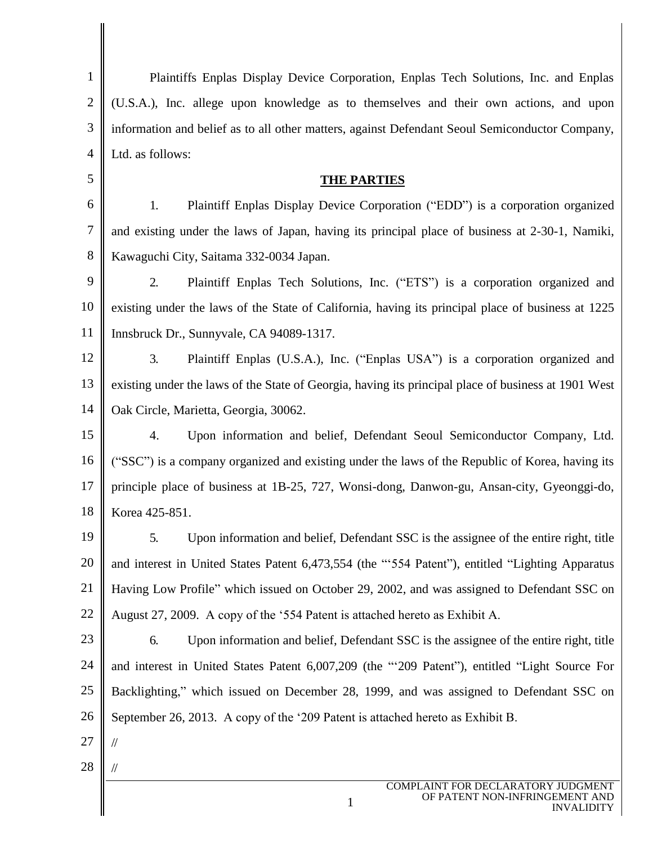| $\mathbf{1}$   | Plaintiffs Enplas Display Device Corporation, Enplas Tech Solutions, Inc. and Enplas                      |
|----------------|-----------------------------------------------------------------------------------------------------------|
| $\overline{2}$ | (U.S.A.), Inc. allege upon knowledge as to themselves and their own actions, and upon                     |
| 3              | information and belief as to all other matters, against Defendant Seoul Semiconductor Company,            |
| $\overline{4}$ | Ltd. as follows:                                                                                          |
| 5              | <b>THE PARTIES</b>                                                                                        |
| 6              | Plaintiff Enplas Display Device Corporation ("EDD") is a corporation organized<br>1.                      |
| $\overline{7}$ | and existing under the laws of Japan, having its principal place of business at 2-30-1, Namiki,           |
| 8              | Kawaguchi City, Saitama 332-0034 Japan.                                                                   |
| 9              | 2.<br>Plaintiff Enplas Tech Solutions, Inc. ("ETS") is a corporation organized and                        |
| 10             | existing under the laws of the State of California, having its principal place of business at 1225        |
| 11             | Innsbruck Dr., Sunnyvale, CA 94089-1317.                                                                  |
| 12             | 3.<br>Plaintiff Enplas (U.S.A.), Inc. ("Enplas USA") is a corporation organized and                       |
| 13             | existing under the laws of the State of Georgia, having its principal place of business at 1901 West      |
| 14             | Oak Circle, Marietta, Georgia, 30062.                                                                     |
| 15             | Upon information and belief, Defendant Seoul Semiconductor Company, Ltd.<br>4.                            |
| 16             | ("SSC") is a company organized and existing under the laws of the Republic of Korea, having its           |
| 17             | principle place of business at 1B-25, 727, Wonsi-dong, Danwon-gu, Ansan-city, Gyeonggi-do,                |
| 18             | Korea 425-851.                                                                                            |
| 19             | 5.<br>Upon information and belief, Defendant SSC is the assignee of the entire right, title               |
| 20             | and interest in United States Patent 6,473,554 (the "554 Patent"), entitled "Lighting Apparatus           |
| 21             | Having Low Profile" which issued on October 29, 2002, and was assigned to Defendant SSC on                |
| 22             | August 27, 2009. A copy of the '554 Patent is attached hereto as Exhibit A.                               |
| 23             | Upon information and belief, Defendant SSC is the assignee of the entire right, title<br>6.               |
| 24             | and interest in United States Patent 6,007,209 (the "209 Patent"), entitled "Light Source For             |
| 25             | Backlighting," which issued on December 28, 1999, and was assigned to Defendant SSC on                    |
| 26             | September 26, 2013. A copy of the '209 Patent is attached hereto as Exhibit B.                            |
| 27             | $^{\prime\prime}$                                                                                         |
| 28             |                                                                                                           |
|                | COMPLAINT FOR DECLARATORY JUDGMENT<br>OF PATENT NON-INFRINGEMENT AND<br>$\mathbf{1}$<br><b>INVALIDITY</b> |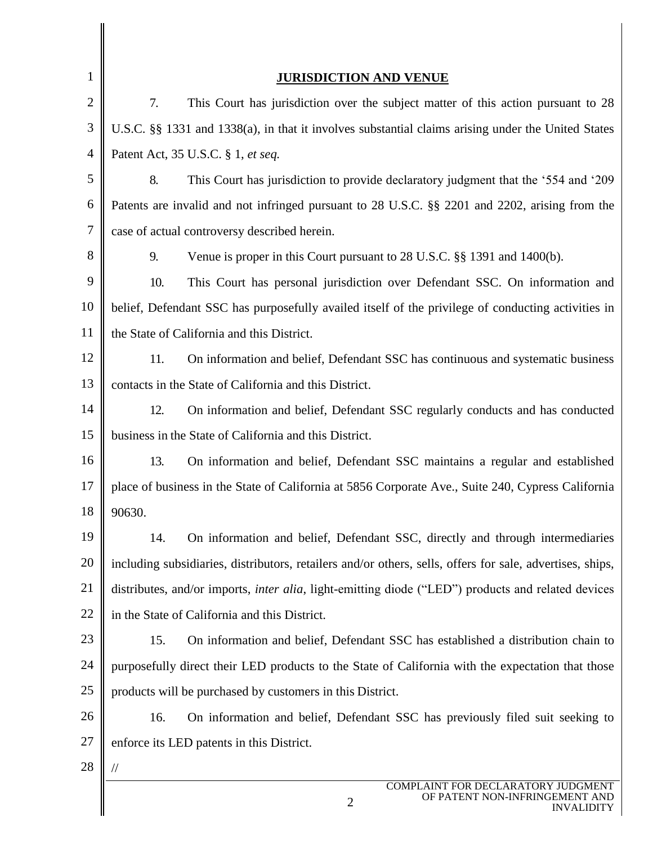| $\mathbf{1}$   | <u>JURISDICTION AND VENUE</u>                                                                               |
|----------------|-------------------------------------------------------------------------------------------------------------|
| $\overline{2}$ | 7.<br>This Court has jurisdiction over the subject matter of this action pursuant to 28                     |
| 3              | U.S.C. §§ 1331 and 1338(a), in that it involves substantial claims arising under the United States          |
| 4              | Patent Act, 35 U.S.C. § 1, et seq.                                                                          |
| 5              | 8.<br>This Court has jurisdiction to provide declaratory judgment that the '554 and '209                    |
| 6              | Patents are invalid and not infringed pursuant to 28 U.S.C. §§ 2201 and 2202, arising from the              |
| 7              | case of actual controversy described herein.                                                                |
| 8              | 9.<br>Venue is proper in this Court pursuant to 28 U.S.C. §§ 1391 and 1400(b).                              |
| 9              | 10.<br>This Court has personal jurisdiction over Defendant SSC. On information and                          |
| 10             | belief, Defendant SSC has purposefully availed itself of the privilege of conducting activities in          |
| 11             | the State of California and this District.                                                                  |
| 12             | 11.<br>On information and belief, Defendant SSC has continuous and systematic business                      |
| 13             | contacts in the State of California and this District.                                                      |
| 14             | 12.<br>On information and belief, Defendant SSC regularly conducts and has conducted                        |
| 15             | business in the State of California and this District.                                                      |
| 16             | 13.<br>On information and belief, Defendant SSC maintains a regular and established                         |
| 17             | place of business in the State of California at 5856 Corporate Ave., Suite 240, Cypress California          |
| 18             | 90630.                                                                                                      |
| 19             | 14.<br>On information and belief, Defendant SSC, directly and through intermediaries                        |
| 20             | including subsidiaries, distributors, retailers and/or others, sells, offers for sale, advertises, ships,   |
| 21             | distributes, and/or imports, <i>inter alia</i> , light-emitting diode ("LED") products and related devices  |
| 22             | in the State of California and this District.                                                               |
| 23             | On information and belief, Defendant SSC has established a distribution chain to<br>15.                     |
| 24             | purposefully direct their LED products to the State of California with the expectation that those           |
| 25             | products will be purchased by customers in this District.                                                   |
| 26             | 16.<br>On information and belief, Defendant SSC has previously filed suit seeking to                        |
| 27             | enforce its LED patents in this District.                                                                   |
| 28             | $\frac{1}{2}$                                                                                               |
|                | COMPLAINT FOR DECLARATORY JUDGMENT<br>OF PATENT NON-INFRINGEMENT AND<br>$\mathfrak{2}$<br><b>INVALIDITY</b> |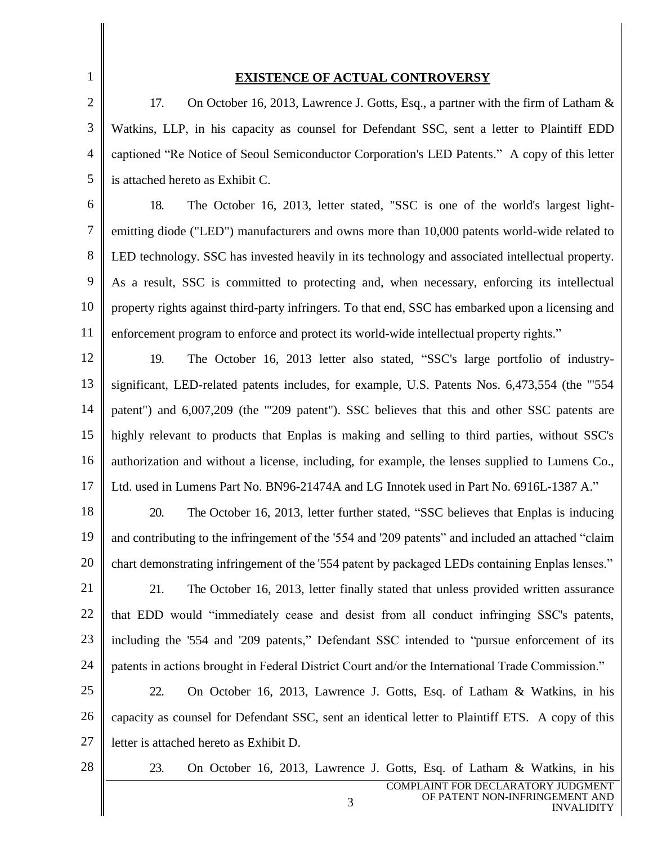1

12

13

14

15

16

## **EXISTENCE OF ACTUAL CONTROVERSY**

2 3 4 5 17. On October 16, 2013, Lawrence J. Gotts, Esq., a partner with the firm of Latham & Watkins, LLP, in his capacity as counsel for Defendant SSC, sent a letter to Plaintiff EDD captioned "Re Notice of Seoul Semiconductor Corporation's LED Patents." A copy of this letter is attached hereto as Exhibit C.

6 7 8 9 10 11 18. The October 16, 2013, letter stated, "SSC is one of the world's largest lightemitting diode ("LED") manufacturers and owns more than 10,000 patents world-wide related to LED technology. SSC has invested heavily in its technology and associated intellectual property. As a result, SSC is committed to protecting and, when necessary, enforcing its intellectual property rights against third-party infringers. To that end, SSC has embarked upon a licensing and enforcement program to enforce and protect its world-wide intellectual property rights."

19. The October 16, 2013 letter also stated, "SSC's large portfolio of industrysignificant, LED-related patents includes, for example, U.S. Patents Nos. 6,473,554 (the '"554 patent") and 6,007,209 (the '"209 patent"). SSC believes that this and other SSC patents are highly relevant to products that Enplas is making and selling to third parties, without SSC's authorization and without a license, including, for example, the lenses supplied to Lumens Co.,

17 Ltd. used in Lumens Part No. BN96-21474A and LG Innotek used in Part No. 6916L-1387 A."

18 19 20 20. The October 16, 2013, letter further stated, "SSC believes that Enplas is inducing and contributing to the infringement of the '554 and '209 patents" and included an attached "claim chart demonstrating infringement of the '554 patent by packaged LEDs containing Enplas lenses."

21 22 23 24 21. The October 16, 2013, letter finally stated that unless provided written assurance that EDD would "immediately cease and desist from all conduct infringing SSC's patents, including the '554 and '209 patents," Defendant SSC intended to "pursue enforcement of its patents in actions brought in Federal District Court and/or the International Trade Commission."

25 26 27 22. On October 16, 2013, Lawrence J. Gotts, Esq. of Latham & Watkins, in his capacity as counsel for Defendant SSC, sent an identical letter to Plaintiff ETS. A copy of this letter is attached hereto as Exhibit D.

28

I

23. On October 16, 2013, Lawrence J. Gotts, Esq. of Latham & Watkins, in his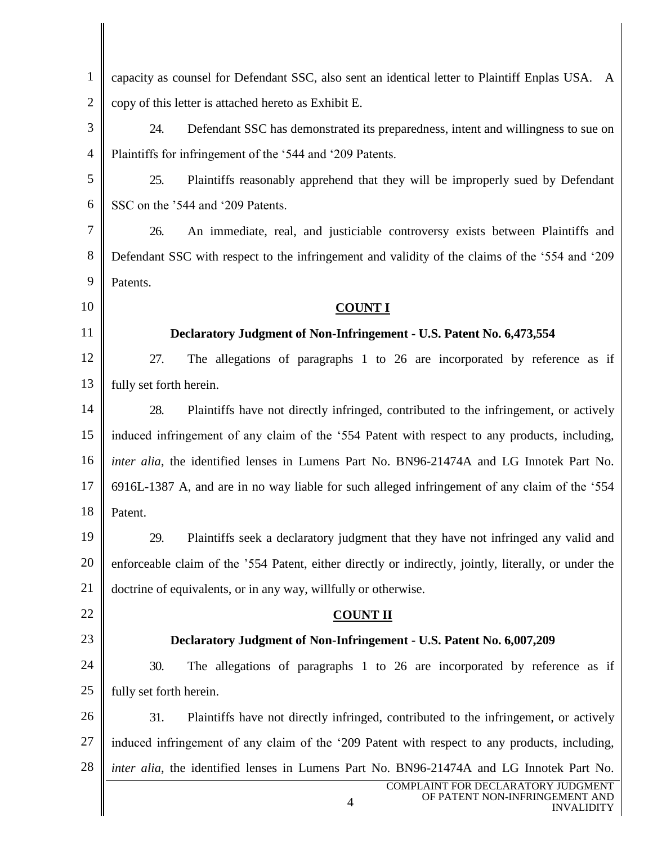| $\mathbf{1}$   | capacity as counsel for Defendant SSC, also sent an identical letter to Plaintiff Enplas USA. A         |  |
|----------------|---------------------------------------------------------------------------------------------------------|--|
| $\overline{2}$ | copy of this letter is attached hereto as Exhibit E.                                                    |  |
| 3              | Defendant SSC has demonstrated its preparedness, intent and willingness to sue on<br>24.                |  |
| 4              | Plaintiffs for infringement of the '544 and '209 Patents.                                               |  |
| 5              | 25.<br>Plaintiffs reasonably apprehend that they will be improperly sued by Defendant                   |  |
| 6              | SSC on the '544 and '209 Patents.                                                                       |  |
| 7              | An immediate, real, and justiciable controversy exists between Plaintiffs and<br>26.                    |  |
| 8              | Defendant SSC with respect to the infringement and validity of the claims of the '554 and '209          |  |
| 9              | Patents.                                                                                                |  |
| 10             | <b>COUNT I</b>                                                                                          |  |
| 11             | Declaratory Judgment of Non-Infringement - U.S. Patent No. 6,473,554                                    |  |
| 12             | 27.<br>The allegations of paragraphs 1 to 26 are incorporated by reference as if                        |  |
| 13             | fully set forth herein.                                                                                 |  |
| 14             | 28.<br>Plaintiffs have not directly infringed, contributed to the infringement, or actively             |  |
| 15             | induced infringement of any claim of the '554 Patent with respect to any products, including,           |  |
| 16             | inter alia, the identified lenses in Lumens Part No. BN96-21474A and LG Innotek Part No.                |  |
| 17             | 6916L-1387 A, and are in no way liable for such alleged infringement of any claim of the '554           |  |
| 18             | Patent.                                                                                                 |  |
| 19             | Plaintiffs seek a declaratory judgment that they have not infringed any valid and<br>29.                |  |
| 20             | enforceable claim of the '554 Patent, either directly or indirectly, jointly, literally, or under the   |  |
| 21             | doctrine of equivalents, or in any way, willfully or otherwise.                                         |  |
| 22             | <b>COUNT II</b>                                                                                         |  |
| 23             | Declaratory Judgment of Non-Infringement - U.S. Patent No. 6,007,209                                    |  |
| 24             | The allegations of paragraphs 1 to 26 are incorporated by reference as if<br>30.                        |  |
| 25             | fully set forth herein.                                                                                 |  |
| 26             | 31.<br>Plaintiffs have not directly infringed, contributed to the infringement, or actively             |  |
| 27             | induced infringement of any claim of the '209 Patent with respect to any products, including,           |  |
| 28             | inter alia, the identified lenses in Lumens Part No. BN96-21474A and LG Innotek Part No.                |  |
|                | COMPLAINT FOR DECLARATORY JUDGMENT<br>OF PATENT NON-INFRINGEMENT<br>$\overline{4}$<br><b>INVALIDITY</b> |  |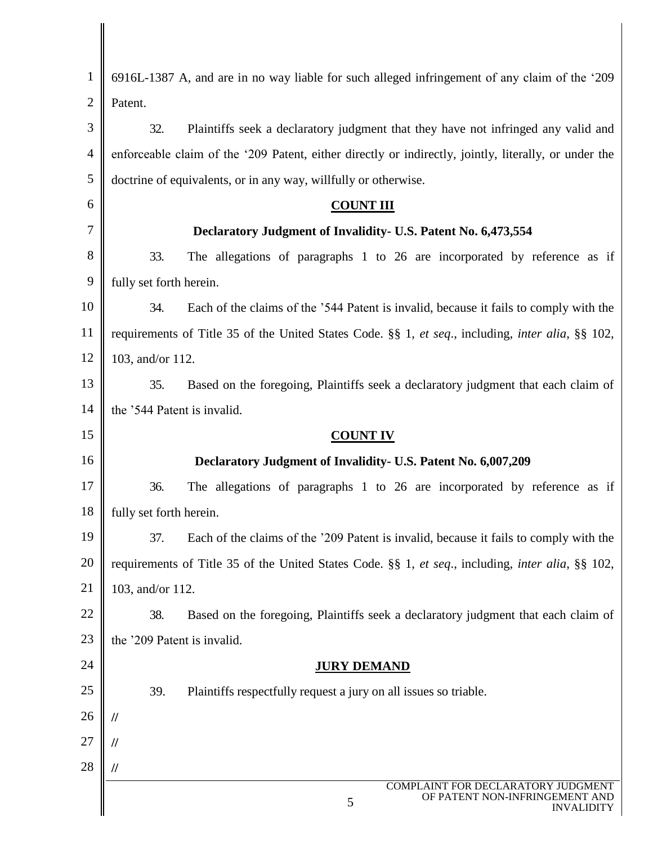| $\mathbf{1}$   | 6916L-1387 A, and are in no way liable for such alleged infringement of any claim of the '209         |  |
|----------------|-------------------------------------------------------------------------------------------------------|--|
| $\overline{2}$ | Patent.                                                                                               |  |
| 3              | 32.<br>Plaintiffs seek a declaratory judgment that they have not infringed any valid and              |  |
| 4              | enforceable claim of the '209 Patent, either directly or indirectly, jointly, literally, or under the |  |
| 5              | doctrine of equivalents, or in any way, willfully or otherwise.                                       |  |
| 6              | <b>COUNT III</b>                                                                                      |  |
| 7              | Declaratory Judgment of Invalidity - U.S. Patent No. 6,473,554                                        |  |
| 8              | 33.<br>The allegations of paragraphs 1 to 26 are incorporated by reference as if                      |  |
| 9              | fully set forth herein.                                                                               |  |
| 10             | 34.<br>Each of the claims of the '544 Patent is invalid, because it fails to comply with the          |  |
| 11             | requirements of Title 35 of the United States Code. §§ 1, et seq., including, inter alia, §§ 102,     |  |
| 12             | 103, and/or 112.                                                                                      |  |
| 13             | 35.<br>Based on the foregoing, Plaintiffs seek a declaratory judgment that each claim of              |  |
| 14             | the '544 Patent is invalid.                                                                           |  |
| 15             | <b>COUNT IV</b>                                                                                       |  |
| 16             | Declaratory Judgment of Invalidity- U.S. Patent No. 6,007,209                                         |  |
| 17             | 36.<br>The allegations of paragraphs 1 to 26 are incorporated by reference as if                      |  |
| 18             | fully set forth herein.                                                                               |  |
| 19             | 37.<br>Each of the claims of the '209 Patent is invalid, because it fails to comply with the          |  |
| 20             | requirements of Title 35 of the United States Code. §§ 1, et seq., including, inter alia, §§ 102,     |  |
| 21             | 103, and/or 112.                                                                                      |  |
| 22             | 38.<br>Based on the foregoing, Plaintiffs seek a declaratory judgment that each claim of              |  |
| 23             |                                                                                                       |  |
|                | the '209 Patent is invalid.                                                                           |  |
| 24             | <b>JURY DEMAND</b>                                                                                    |  |
| 25             | 39.<br>Plaintiffs respectfully request a jury on all issues so triable.                               |  |
| 26             | $^{\prime\prime}$                                                                                     |  |
| 27             | 11                                                                                                    |  |
| 28             | 11<br>COMPLAINT FOR DECLARATORY JUDGMENT                                                              |  |